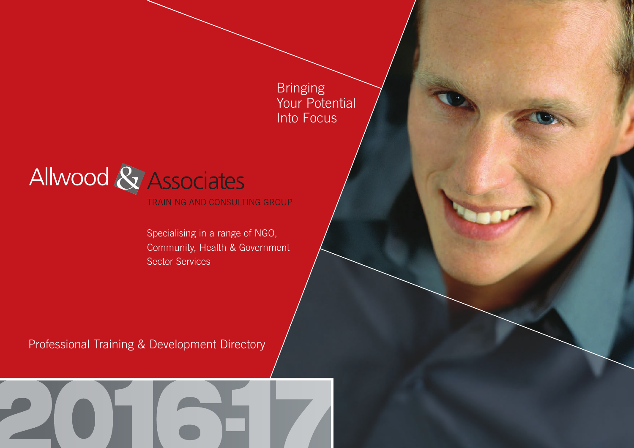**Bringing** Your Potential Into Focus



TRAINING AND CONSULTING GROUP

Specialising in a range of NGO, Community, Health & Government Sector Services

Professional Training & Development Directory

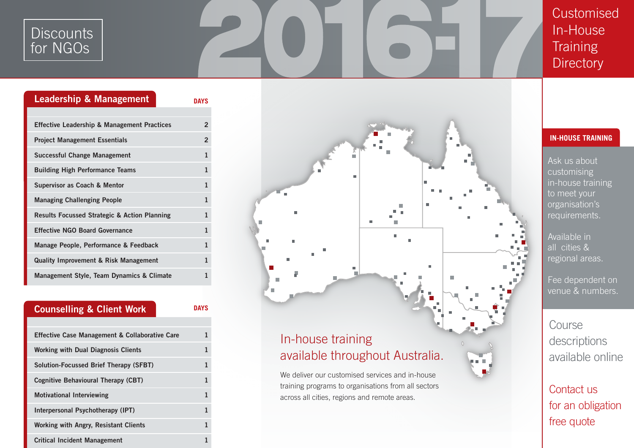### **Discounts** for NGOs

**Customised** In-House **Training Directory** 

| <b>Leadership &amp; Management</b>                      | <b>DAYS</b>    |
|---------------------------------------------------------|----------------|
|                                                         |                |
| <b>Effective Leadership &amp; Management Practices</b>  | $\overline{2}$ |
| <b>Project Management Essentials</b>                    | $\overline{2}$ |
| Successful Change Management                            | $\mathbf{1}$   |
| <b>Building High Performance Teams</b>                  | $\mathbf{1}$   |
| Supervisor as Coach & Mentor                            | $\mathbf{1}$   |
| <b>Managing Challenging People</b>                      | 1              |
| <b>Results Focussed Strategic &amp; Action Planning</b> | 1              |
| <b>Effective NGO Board Governance</b>                   | $\mathbf{1}$   |
| Manage People, Performance & Feedback                   | $\mathbf{1}$   |
| <b>Quality Improvement &amp; Risk Management</b>        | 1              |
| Management Style, Team Dynamics & Climate               | 1              |





### **IN-HOUSE TRAINING**

Ask us about customising in-house training to meet your organisation's requirements.

Available in all cities & regional areas.

Fee dependent on venue & numbers.

Course descriptions available online

Contact us for an obligation free quote

# available throughout Australia.

We deliver our customised services and in-house training programs to organisations from all sectors across all cities, regions and remote areas.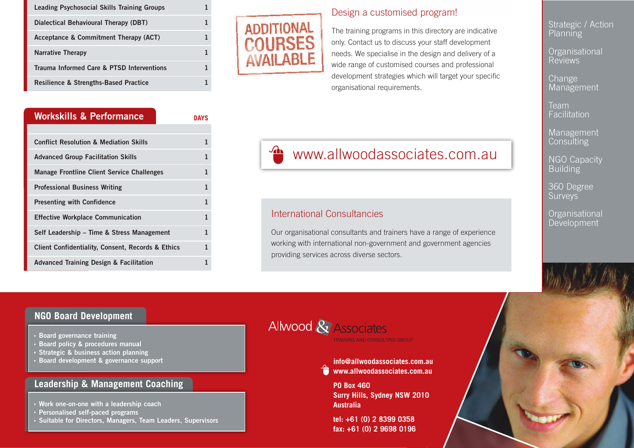| <b>Leading Psychosocial Skills Training Groups</b> |  |
|----------------------------------------------------|--|
| Dialectical Behavioural Therapy (DBT)              |  |
| Acceptance & Commitment Therapy (ACT)              |  |
| <b>Narrative Therapy</b>                           |  |
| Trauma Informed Care & PTSD Interventions          |  |
| <b>Resilience &amp; Strengths-Based Practice</b>   |  |

| <b>Workskills &amp; Performance</b>                          | <b>DAYS</b> |
|--------------------------------------------------------------|-------------|
|                                                              |             |
| <b>Conflict Resolution &amp; Mediation Skills</b>            | 1           |
| <b>Advanced Group Facilitation Skills</b>                    | 1           |
| <b>Manage Frontline Client Service Challenges</b>            | 1           |
| <b>Professional Business Writing</b>                         | 1           |
| <b>Presenting with Confidence</b>                            | 1           |
| <b>Effective Workplace Communication</b>                     | 1           |
| Self Leadership – Time & Stress Management                   | 1           |
| <b>Client Confidentiality, Consent, Records &amp; Ethics</b> | 1           |
| <b>Advanced Training Design &amp; Facilitation</b>           | 1           |



#### Design a customised program!

The training programs in this directory are indicative only. Contact us to discuss your staff development needs. We specialise in the design and delivery of a wide range of customised courses and professional development strategies which will target your specific organisational requirements.

**T** www.allwoodassociates.com.au

#### International Consultancies

Our organisational consultants and trainers have a range of experience working with international non-government and government agencies providing services across diverse sectors.

Strategic / Action Planning

**Organisational** Reviews

**Change** Management

Team Facilitation

Management **Consulting** 

**NGO Capacity Building** 

360 Degree **Surveys** 

**Organisational** Development

#### **NGO Board Development**

- **Board governance training**
- **Board policy & procedures manual**
- **Strategic & business action planning**
- **Board development & governance support**

#### **Leadership & Management Coaching**

- **Work one-on-one with a leadership coach**
- **Personalised self-paced programs**
- **Suitable for Directors, Managers, Team Leaders, Supervisors**



**info@allwoodassociates.com.au www.allwoodassociates.com.au**

**PO Box 460 Surry Hills, Sydney NSW 2010 Australia**

**tel: +61 (0) 2 8399 0358 fax: +61 (0) 2 9698 0196**